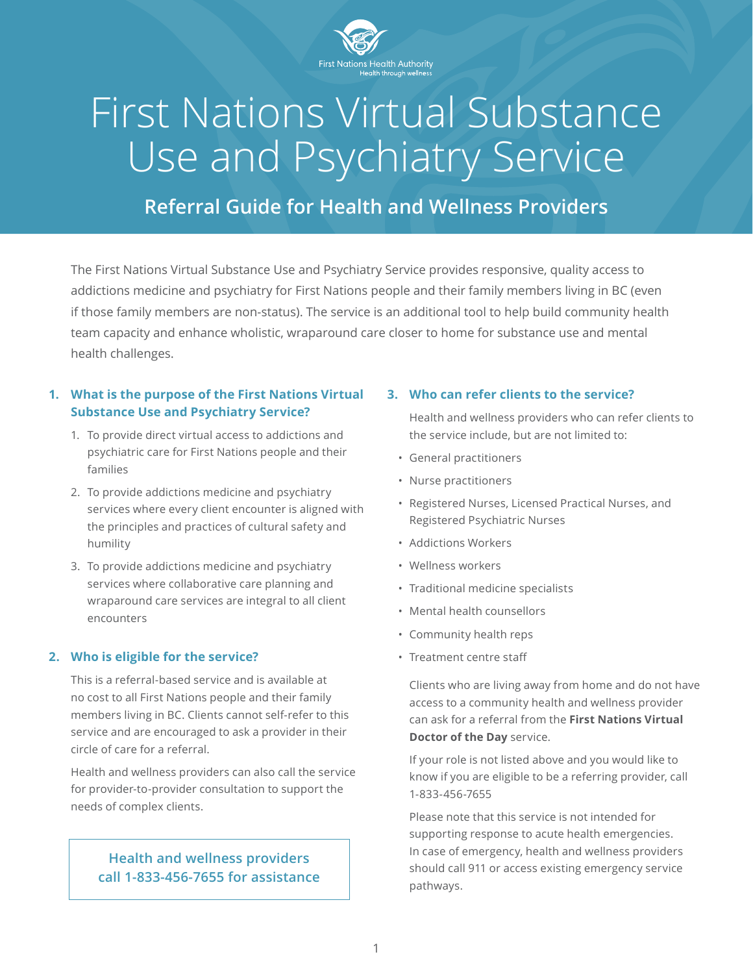

## First Nations Virtual Substance Use and Psychiatry Service

### **Referral Guide for Health and Wellness Providers**

The First Nations Virtual Substance Use and Psychiatry Service provides responsive, quality access to addictions medicine and psychiatry for First Nations people and their family members living in BC (even if those family members are non-status). The service is an additional tool to help build community health team capacity and enhance wholistic, wraparound care closer to home for substance use and mental health challenges.

#### **1. What is the purpose of the First Nations Virtual Substance Use and Psychiatry Service?**

- 1. To provide direct virtual access to addictions and psychiatric care for First Nations people and their families
- 2. To provide addictions medicine and psychiatry services where every client encounter is aligned with the principles and practices of cultural safety and humility
- 3. To provide addictions medicine and psychiatry services where collaborative care planning and wraparound care services are integral to all client encounters

#### **2. Who is eligible for the service?**

This is a referral-based service and is available at no cost to all First Nations people and their family members living in BC. Clients cannot self-refer to this service and are encouraged to ask a provider in their circle of care for a referral.

Health and wellness providers can also call the service for provider-to-provider consultation to support the needs of complex clients.

#### **Health and wellness providers call 1-833-456-7655 for assistance**

#### **3. Who can refer clients to the service?**

Health and wellness providers who can refer clients to the service include, but are not limited to:

- General practitioners
- Nurse practitioners
- Registered Nurses, Licensed Practical Nurses, and Registered Psychiatric Nurses
- Addictions Workers
- Wellness workers
- Traditional medicine specialists
- Mental health counsellors
- Community health reps
- Treatment centre staff

Clients who are living away from home and do not have access to a community health and wellness provider can ask for a referral from the **[First Nations Virtual](https://www.fnha.ca/what-we-do/ehealth/virtual-doctor-of-the-day) [Doctor of the Day](https://www.fnha.ca/what-we-do/ehealth/virtual-doctor-of-the-day)** service.

If your role is not listed above and you would like to know if you are eligible to be a referring provider, call 1-833-456-7655

Please note that this service is not intended for supporting response to acute health emergencies. In case of emergency, health and wellness providers should call 911 or access existing emergency service pathways.